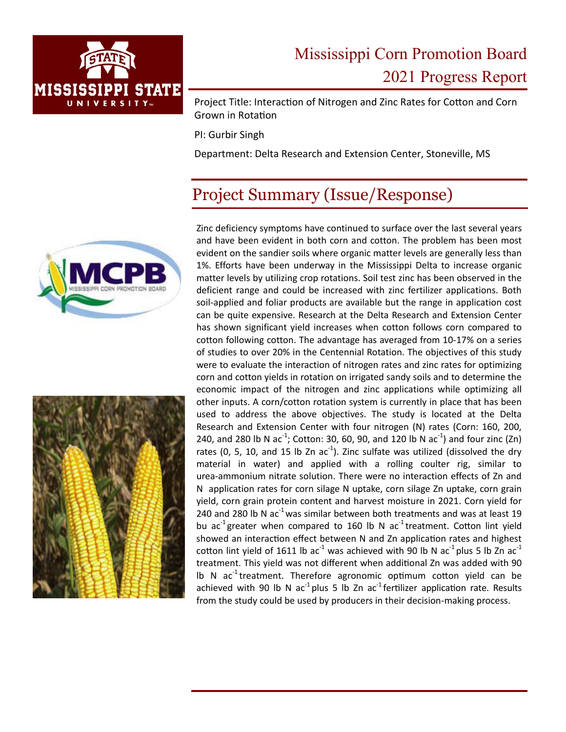

# Mississippi Corn Promotion Board 2021 Progress Report

Project Title: Interaction of Nitrogen and Zinc Rates for Cotton and Corn Grown in RotaƟon

PI: Gurbir Singh

Department: Delta Research and Extension Center, Stoneville, MS

## Project Summary (Issue/Response)





Zinc deficiency symptoms have continued to surface over the last several years and have been evident in both corn and cotton. The problem has been most evident on the sandier soils where organic matter levels are generally less than 1%. Efforts have been underway in the Mississippi Delta to increase organic matter levels by utilizing crop rotations. Soil test zinc has been observed in the deficient range and could be increased with zinc fertilizer applications. Both soil‐applied and foliar products are available but the range in application cost can be quite expensive. Research at the Delta Research and Extension Center has shown significant yield increases when cotton follows corn compared to cotton following cotton. The advantage has averaged from 10‐17% on a series of studies to over 20% in the Centennial Rotation. The objectives of this study were to evaluate the interaction of nitrogen rates and zinc rates for optimizing corn and cotton yields in rotation on irrigated sandy soils and to determine the economic impact of the nitrogen and zinc applications while optimizing all other inputs. A corn/cotton rotation system is currently in place that has been used to address the above objectives. The study is located at the Delta Research and Extension Center with four nitrogen (N) rates (Corn: 160, 200, 240, and 280 lb N ac<sup>-1</sup>; Cotton: 30, 60, 90, and 120 lb N ac<sup>-1</sup>) and four zinc (Zn) rates (0, 5, 10, and 15 lb Zn  $ac^{-1}$ ). Zinc sulfate was utilized (dissolved the dry material in water) and applied with a rolling coulter rig, similar to urea‐ammonium nitrate solution. There were no interaction effects of Zn and N application rates for corn silage N uptake, corn silage Zn uptake, corn grain yield, corn grain protein content and harvest moisture in 2021. Corn yield for 240 and 280 lb N  $ac^{-1}$  was similar between both treatments and was at least 19 bu ac<sup>-1</sup> greater when compared to 160 lb N ac<sup>-1</sup> treatment. Cotton lint yield showed an interaction effect between N and Zn application rates and highest cotton lint yield of 1611 lb ac<sup>-1</sup> was achieved with 90 lb N ac<sup>-1</sup> plus 5 lb Zn ac<sup>-1</sup> treatment. This yield was not different when additional Zn was added with 90 Ib N  $ac<sup>-1</sup>$  treatment. Therefore agronomic optimum cotton yield can be achieved with 90 lb N ac<sup>-1</sup> plus 5 lb Zn ac<sup>-1</sup> fertilizer application rate. Results from the study could be used by producers in their decision-making process.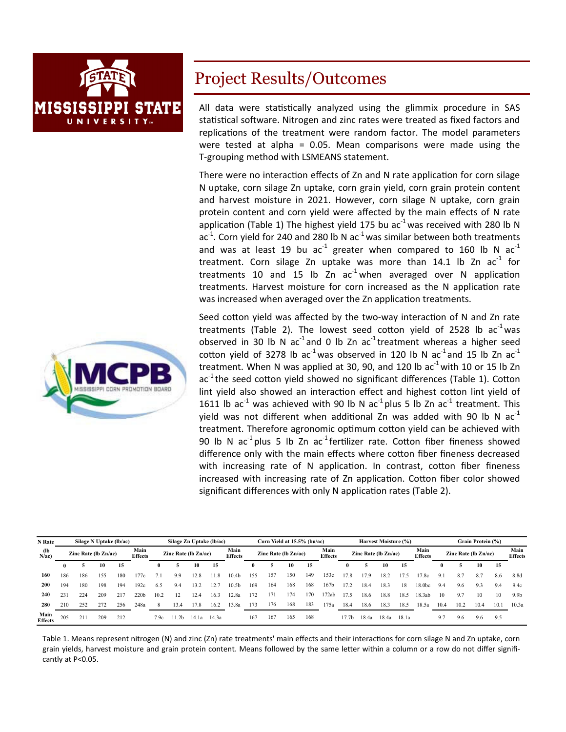



### Project Results/Outcomes

All data were statistically analyzed using the glimmix procedure in SAS statistical software. Nitrogen and zinc rates were treated as fixed factors and replications of the treatment were random factor. The model parameters were tested at alpha = 0.05. Mean comparisons were made using the T‐grouping method with LSMEANS statement.

There were no interaction effects of Zn and N rate application for corn silage N uptake, corn silage Zn uptake, corn grain yield, corn grain protein content and harvest moisture in 2021. However, corn silage N uptake, corn grain protein content and corn yield were affected by the main effects of N rate application (Table 1) The highest yield 175 bu  $ac<sup>-1</sup>$  was received with 280 lb N ac<sup>-1</sup>. Corn yield for 240 and 280 lb N ac<sup>-1</sup> was similar between both treatments and was at least 19 bu ac<sup>-1</sup> greater when compared to 160 lb N ac<sup>-1</sup> treatment. Corn silage Zn uptake was more than 14.1 lb Zn  $ac^{-1}$  for treatments 10 and 15 lb Zn  $ac<sup>-1</sup>$  when averaged over N application treatments. Harvest moisture for corn increased as the N application rate was increased when averaged over the Zn application treatments.

Seed cotton yield was affected by the two-way interaction of N and Zn rate treatments (Table 2). The lowest seed cotton yield of 2528 lb  $ac<sup>-1</sup>$  was observed in 30 lb N ac<sup>-1</sup> and 0 lb Zn ac<sup>-1</sup> treatment whereas a higher seed cotton yield of 3278 lb ac<sup>-1</sup> was observed in 120 lb N ac<sup>-1</sup> and 15 lb Zn ac<sup>-1</sup> treatment. When N was applied at 30, 90, and 120 lb  $ac<sup>-1</sup>$  with 10 or 15 lb Zn  $ac<sup>-1</sup>$  the seed cotton yield showed no significant differences (Table 1). Cotton lint yield also showed an interaction effect and highest cotton lint yield of 1611 lb ac<sup>-1</sup> was achieved with 90 lb N ac<sup>-1</sup> plus 5 lb Zn ac<sup>-1</sup> treatment. This yield was not different when additional Zn was added with 90 lb N  $ac^{-1}$ treatment. Therefore agronomic optimum cotton yield can be achieved with 90 lb N  $ac^{-1}$  plus 5 lb Zn  $ac^{-1}$  fertilizer rate. Cotton fiber fineness showed difference only with the main effects where cotton fiber fineness decreased with increasing rate of N application. In contrast, cotton fiber fineness increased with increasing rate of Zn application. Cotton fiber color showed significant differences with only N application rates (Table 2).

| N Rate                 |                      |     | Silage N Uptake (lb/ac) |                        |                      |              | Silage Zn Uptake (lb/ac) |       |                        |                      | Corn Yield at 15.5% (bu/ac) |     |                        |                      |       | Harvest Moisture (%) |       |                        |                      |        | Grain Protein (%) |                        |      |      |                  |
|------------------------|----------------------|-----|-------------------------|------------------------|----------------------|--------------|--------------------------|-------|------------------------|----------------------|-----------------------------|-----|------------------------|----------------------|-------|----------------------|-------|------------------------|----------------------|--------|-------------------|------------------------|------|------|------------------|
| (lb<br>N/ac            | Zinc Rate (lb Zn/ac) |     |                         | Main<br><b>Effects</b> | Zinc Rate (lb Zn/ac) |              |                          |       | Main<br><b>Effects</b> | Zinc Rate (lb Zn/ac) |                             |     | Main<br><b>Effects</b> | Zinc Rate (lb Zn/ac) |       |                      |       | Main<br><b>Effects</b> | Zinc Rate (lb Zn/ac) |        |                   | Main<br><b>Effects</b> |      |      |                  |
|                        | $\bf{0}$             |     | 10                      | 15                     |                      | $\mathbf{0}$ |                          | 10    | 15                     |                      | 0                           |     | 10                     | 15                   |       |                      |       | 10                     | 15                   |        |                   |                        | 10   | 15   |                  |
| 160                    | 186                  | 186 | 155                     | 180                    | 177c                 |              | 9.9                      | 12.8  | 1.8                    | 10.4 <sub>b</sub>    | 55                          | 157 | 150                    | 149                  | 153c  | 17.8                 | 17.9  | 18.2                   |                      | 7 8c   | 9.1               | 8.7                    | 8.7  | 8.6  | 8.8d             |
| 200                    | 194                  | 180 | 198                     | 194                    | 192c                 | 6.5          | 9.4                      | 13.2  | : 2                    | 10.5 <sub>b</sub>    | 169                         | 164 | 168                    | 168                  | 167b  | 17.2                 | 18.4  | 18.3                   | 18                   | 18.0bc | 9.4               | 9.6                    | 9.3  | 9.4  | 9.4c             |
| 240                    | 231                  | 224 | 209                     |                        | 220 <sub>b</sub>     | 10.2         | 12                       | 12.4  | 16.3                   | 12.8a                | 172                         | 171 | 174                    | 70                   | 172ab | 17.5                 | 18.6  | 18.8                   | 18.5                 | 18.3ab | 10                | 9.7                    | 10   | 10   | 9.9 <sub>b</sub> |
| 280                    | 210                  | 252 | 272                     | 256                    | 248a                 |              | 13.4                     | 17.8  | 16.2                   | 13.8a                | 173                         | 176 | 168                    | 183                  | 175a  | 18.4                 | 18.6  | 18.3                   | 18.5                 | 18.5a  | 10.4              | 10.2                   | 10.4 | 10.1 | 10.3a            |
| Main<br><b>Effects</b> | 205                  | 211 | 209                     | 212                    |                      | 7.9c         | 1.2b                     | 14.1a | 14.3a                  |                      | 167                         | 167 | 165                    | 168                  |       | 17.7b                | 18.4a | 18.4a                  | 18.1a                |        | 9.7               | 9.6                    | 9.6  | 9.5  |                  |

Table 1. Means represent nitrogen (N) and zinc (Zn) rate treatments' main effects and their interactions for corn silage N and Zn uptake, corn grain yields, harvest moisture and grain protein content. Means followed by the same letter within a column or a row do not differ significantly at P<0.05.